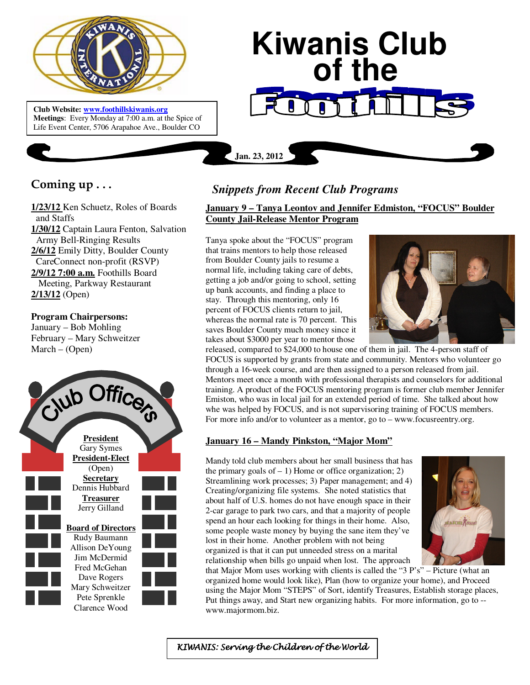

**Club Website: www.foothillskiwanis.org Meetings**: Every Monday at 7:00 a.m. at the Spice of Life Event Center, 5706 Arapahoe Ave., Boulder CO

# **Kiwanis Club of the**

# **Coming up . . .**

**1/23/12** Ken Schuetz, Roles of Boards and Staffs **1/30/12** Captain Laura Fenton, Salvation Army Bell-Ringing Results **2/6/12** Emily Ditty, Boulder County CareConnect non-profit (RSVP) **2/9/12 7:00 a.m.** Foothills Board Meeting, Parkway Restaurant **2/13/12** (Open)

#### **Program Chairpersons:**

January – Bob Mohling February – Mary Schweitzer March – (Open)



# *Snippets from Recent Club Programs*

## **January 9 – Tanya Leontov and Jennifer Edmiston, "FOCUS" Boulder County Jail-Release Mentor Program**

Tanya spoke about the "FOCUS" program that trains mentors to help those released from Boulder County jails to resume a normal life, including taking care of debts, getting a job and/or going to school, setting up bank accounts, and finding a place to stay. Through this mentoring, only 16 percent of FOCUS clients return to jail, whereas the normal rate is 70 percent. This saves Boulder County much money since it takes about \$3000 per year to mentor those

**Jan. 23, 2012**



released, compared to \$24,000 to house one of them in jail. The 4-person staff of FOCUS is supported by grants from state and community. Mentors who volunteer go through a 16-week course, and are then assigned to a person released from jail. Mentors meet once a month with professional therapists and counselors for additional training. A product of the FOCUS mentoring program is former club member Jennifer Emiston, who was in local jail for an extended period of time. She talked about how whe was helped by FOCUS, and is not supervisoring training of FOCUS members. For more info and/or to volunteer as a mentor, go to – www.focusreentry.org.

## **January 16 – Mandy Pinkston, "Major Mom"**

Mandy told club members about her small business that has the primary goals of  $-1$ ) Home or office organization; 2) Streamlining work processes; 3) Paper management; and 4) Creating/organizing file systems. She noted statistics that about half of U.S. homes do not have enough space in their 2-car garage to park two cars, and that a majority of people spend an hour each looking for things in their home. Also, some people waste money by buying the sane item they've lost in their home. Another problem with not being organized is that it can put unneeded stress on a marital relationship when bills go unpaid when lost. The approach



that Major Mom uses working with clients is called the "3 P's" – Picture (what an organized home would look like), Plan (how to organize your home), and Proceed using the Major Mom "STEPS" of Sort, identify Treasures, Establish storage places, Put things away, and Start new organizing habits. For more information, go to - www.majormom.biz.